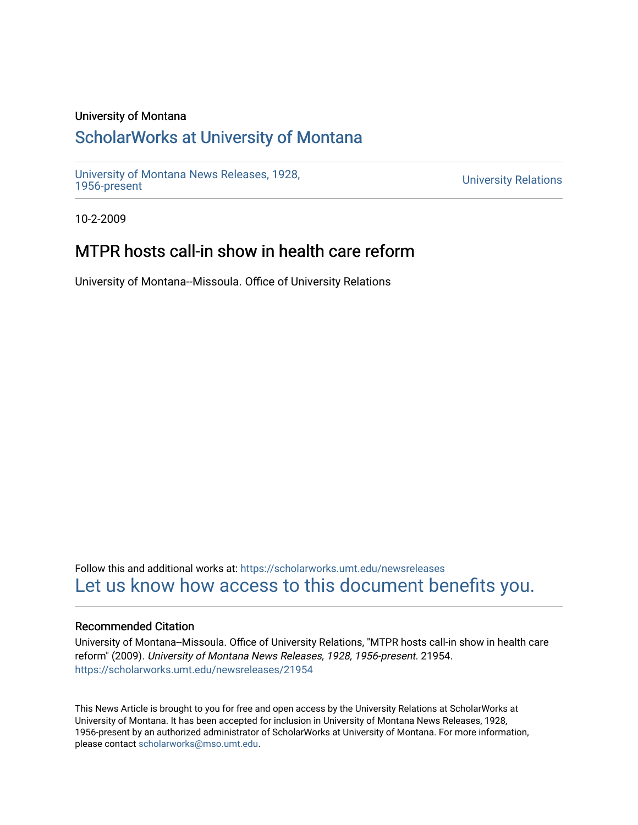### University of Montana

## [ScholarWorks at University of Montana](https://scholarworks.umt.edu/)

[University of Montana News Releases, 1928,](https://scholarworks.umt.edu/newsreleases) 

**University Relations** 

10-2-2009

# MTPR hosts call-in show in health care reform

University of Montana--Missoula. Office of University Relations

Follow this and additional works at: [https://scholarworks.umt.edu/newsreleases](https://scholarworks.umt.edu/newsreleases?utm_source=scholarworks.umt.edu%2Fnewsreleases%2F21954&utm_medium=PDF&utm_campaign=PDFCoverPages) [Let us know how access to this document benefits you.](https://goo.gl/forms/s2rGfXOLzz71qgsB2) 

### Recommended Citation

University of Montana--Missoula. Office of University Relations, "MTPR hosts call-in show in health care reform" (2009). University of Montana News Releases, 1928, 1956-present. 21954. [https://scholarworks.umt.edu/newsreleases/21954](https://scholarworks.umt.edu/newsreleases/21954?utm_source=scholarworks.umt.edu%2Fnewsreleases%2F21954&utm_medium=PDF&utm_campaign=PDFCoverPages) 

This News Article is brought to you for free and open access by the University Relations at ScholarWorks at University of Montana. It has been accepted for inclusion in University of Montana News Releases, 1928, 1956-present by an authorized administrator of ScholarWorks at University of Montana. For more information, please contact [scholarworks@mso.umt.edu.](mailto:scholarworks@mso.umt.edu)